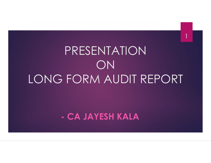# PRESENTATION ON LONG FORM AUDIT REPORT PRESENTATION<br>ON<br>FORM AUDIT REPORT<br>- CA JAYESH KALA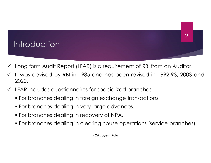#### $2$  | |

# **Introduction**

- 
- Long form Audit Report (LFAR) is a requirement of RBI from an Auditor.<br>
V It was devised by RBI in 1985 and has been revised in 1992-93, 2003 and<br>
2020. Introduction<br>
V Long form Audit Report (LFAR) is a requirement of RBI from an Auditor.<br>
V It was devised by RBI in 1985 and has been revised in 1992-93, 2003 and<br>
2020.<br>
V LFAR includes questionnaires for specialized branc 2020. Later Commandial Christian Christmas (CH) and the proof (LEAR) is a requirement of RBI from an Auditor.<br>
Let us devised by RBI in 1985 and has been revised in 1992-93, 2003 and<br>
LEAR includes questionnaires for specialized For branches dealing in foreign exchange divided.<br>For branches devised by RBI in 1985 and has been revised in 1992-93, 2003 and<br>1992-93, 2003 and 2020.<br>FAR includes questionnaires for specialized branches –<br>For branches de ntroduction<br>
Long form Audit Report (LFAR) is a requirement of RBI from an Auditor.<br>
It was devised by RBI in 1985 and has been revised in 1992-93, 2003<br>
2020.<br>
LFAR includes questionnaires for specialized branches –<br>
For For branches dealing in clearing house operations (service branches).<br>For branches devised by RBI in 1985 and has been revised in 1992-93, 2003 at<br>2020.<br>LFAR includes questionnaires for specialized branches –<br>For branches For branches dealing in 1985 and has been revised in 1992-93, 2003 and<br>FAR includes questionnaires for specialized branches –<br>For branches dealing in foreign exchange transactions.<br>For branches dealing in very large advanc Is a requirement of RBI from an Auditor.<br>
and has been revised in 1992-93, 2003 ar<br>
pr specialized branches –<br>
gn exchange transactions.<br>
large advances.<br>
very of NPA.<br>
Ting house operations (service branches).<br>
- CA Jayes
- -
	-
	-
	-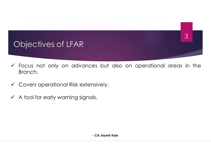# Objectives of LFAR

- Focus not only on advances but also on operational areas in the Branch. Branch. es but also on operational areas in the<br>nsively.<br>Is.<br>- CA Jayesh Kala
- Covers operational Risk extensively.
- $\checkmark$  A tool for early warning signals.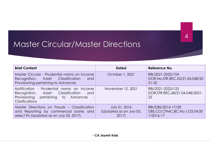|                                                                                                                                                                      |                                                  | 4                                                                |
|----------------------------------------------------------------------------------------------------------------------------------------------------------------------|--------------------------------------------------|------------------------------------------------------------------|
| <b>Master Circular/Master Directions</b>                                                                                                                             |                                                  |                                                                  |
|                                                                                                                                                                      |                                                  |                                                                  |
| <b>Brief Content</b>                                                                                                                                                 | <b>Dated</b>                                     | Reference No.                                                    |
| Master Circular - Prudential norms on Income<br>Recognition,<br>Classification<br>Asset<br>and<br>Provisioning pertaining to Advances                                | October 1, 2021                                  | RBI/2021-2022/104<br>DOR.No.STR.REC.55/21.04.048/20<br>$21 - 22$ |
| Notification - Prudential norms on Income<br>Classification<br>Recognition,<br>Asset<br>and<br>Provisioning<br>pertaining<br>to<br>Advances<br><b>Clarifications</b> | November 12, 2021                                | RBI/2021-2022/125<br>DOR.STR.REC.68/21.04.048/2021-<br>22        |
| Master Directions on Frauds - Classification<br>and Reporting by commercial banks and<br>select Fis (Updated as on July 03, 2017)                                    | July 01, 2016<br>(Updated as on July 03,<br>2017 | RBI/DBS/2016-17/28<br>DBS.CO.CFMC.BC.No.1/23.04.00<br>1/2016-17  |
|                                                                                                                                                                      |                                                  |                                                                  |
|                                                                                                                                                                      | - CA Jayesh Kala                                 |                                                                  |
|                                                                                                                                                                      |                                                  |                                                                  |
|                                                                                                                                                                      |                                                  |                                                                  |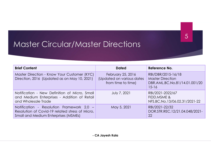|                                                                                                                                             |                                                                      | 5                                                                                           |  |  |  |
|---------------------------------------------------------------------------------------------------------------------------------------------|----------------------------------------------------------------------|---------------------------------------------------------------------------------------------|--|--|--|
| <b>Master Circular/Master Directions</b>                                                                                                    |                                                                      |                                                                                             |  |  |  |
| <b>Brief Content</b>                                                                                                                        | <b>Dated</b>                                                         | Reference No.                                                                               |  |  |  |
| Master Direction - Know Your Customer (KYC)<br>Direction, 2016 (Updated as on May 10, 2021)                                                 | February 25, 2016<br>(Updated on various dates<br>from time to time) | RBI/DBR/2015-16/18<br><b>Master Direction</b><br>DBR.AML.BC.No.81/14.01.001/20<br>$15 - 16$ |  |  |  |
| Notification - New Definition of Micro, Small<br>and Medium Enterprises - Addition of Retail<br>and Wholesale Trade                         | <b>July 7, 2021</b>                                                  | RBI/2021-2022/67<br>FIDD.MSME &<br>NFS.BC.No.13/06.02.31/2021-22                            |  |  |  |
| Notification - Resolution Framework 2.0 -<br>Resolution of Covid-19 related stress of Micro,<br><b>Small and Medium Enterprises (MSMEs)</b> | May 5, 2021                                                          | RBI/2021-22/32<br>DOR.STR.REC.12/21.04.048/2021-<br>22                                      |  |  |  |
|                                                                                                                                             |                                                                      |                                                                                             |  |  |  |
| - CA Jayesh Kala                                                                                                                            |                                                                      |                                                                                             |  |  |  |
|                                                                                                                                             |                                                                      |                                                                                             |  |  |  |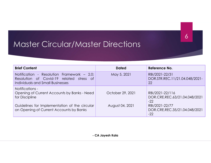| <b>Master Circular/Master Directions</b>                                                                                                                                     |                                     | 6                                                                                                                     |
|------------------------------------------------------------------------------------------------------------------------------------------------------------------------------|-------------------------------------|-----------------------------------------------------------------------------------------------------------------------|
| <b>Brief Content</b>                                                                                                                                                         | <b>Dated</b>                        | Reference No.                                                                                                         |
| Notification - Resolution Framework - 2.0:<br>Resolution of Covid-19 related stress of<br>Individuals and Small Businesses                                                   | May 5, 2021                         | RBI/2021-22/31<br>DOR.STR.REC.11/21.04.048/2021-<br>22                                                                |
| Notifications -<br>Opening of Current Accounts by Banks - Need<br>for Discipline<br>Guidelines for Implementation of the circular<br>on Opening of Current Accounts by Banks | October 29, 2021<br>August 04, 2021 | RBI/2021-22/116<br>DOR.CRE.REC.63/21.04.048/2021<br>$-22$<br>RBI/2021-22/77<br>DOR.CRE.REC.35/21.04.048/2021<br>$-22$ |
|                                                                                                                                                                              | - CA Jayesh Kala                    |                                                                                                                       |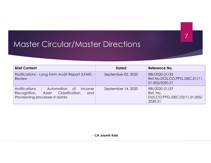| <b>Master Circular/Master Directions</b>                                                                                                  |                    |                                                                        |  |
|-------------------------------------------------------------------------------------------------------------------------------------------|--------------------|------------------------------------------------------------------------|--|
| <b>Brief Content</b>                                                                                                                      | <b>Dated</b>       | Reference No.                                                          |  |
| Notifications - Long Form Audit Report (LFAR) -<br>Review                                                                                 | September 05, 2020 | RBI/2020-21/33<br>Ref.No.DOS.CO.PPG./SEC.01/11.<br>01.005/2020-21      |  |
| - Automation<br><b>Notifications</b><br>0f<br>Income<br>Recognition,<br>Classification<br>Asset<br>and<br>Provisioning processes in banks | September 14, 2020 | RBI/2020-21/37<br>Ref. No.<br>DoS.CO.PPG./SEC.03/11.01.005/<br>2020-21 |  |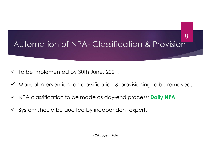# Automation of NPA- Classification & Provision 8 Automation of NPA- Classification & Provision<br>
V To be implemented by 30th June, 2021.<br>
V Manual intervention- on classification & provisioning to be removed. Automation of NPA- Classification & Provision<br>
Manual intervention- on classification & provisioning to be removed.<br>
Manual intervention- on classification & provisioning to be removed.<br>
MPA classification to be made as da Automation of NPA- Classification & Provision<br>
→ To be implemented by 30th June, 2021.<br>
→ Manual intervention- on classification & provisioning to be removed.<br>
→ NPA classification to be made as day-end process: Daily NPA Automation of NPA- Classification & Provision<br>
↓ To be implemented by 30th June, 2021.<br>
↓ Manual intervention- on classification & provisioning to be removed.<br>
↓ NPA classification to be made as day-end process: **Daily NP**

- 
- lune, 2021.<br>sification & provisioning to be removed.<br>e as day-end process: **Daily NPA.**<br>independent expert.<br>- CA Jayesh Kala
- 
-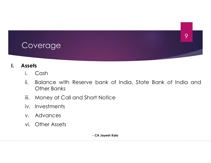

- 
- Samplies<br>
1. Cash<br>
1. Balance with Reserve bank of Ir<br>
1. Other Banks<br>
1. Money at Call and Short Notice<br>
1. Investments<br>
1. Advances<br>
1. Other Assets<br>
1. CA Jayesh Kala bank of India, State Bank of India and<br>Distribution Notice<br>- CA Jayesh Kala
- 
- 
- 
-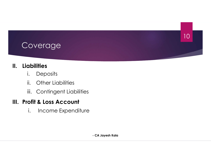# Coverage Coverage<br>
II. Liabilities<br>
i. Deposits<br>
ii. Other Liabilities

- 
- i.<br>**Overage**<br>**Solutives**<br>**Example:**<br>**Example:**<br> **Example:**<br> **Example:**<br> **Example:**<br> **Example:**
- i<br> **Stabilities<br>
i.** Deposits<br>
ii. Other Liabilities<br>
iii. Contingent Liabilities<br> **iii.** Contingent Liabilities india<br>
india<br>
india<br>
ii. Contingent Liabilities<br>
iii. Contingent Liabilities<br> **ofit & Loss Account<br>
indianals Freedity Role** i. Income Expenditure

# Coverage<br>
II. Liabilities<br>
i. Deposits<br>
ii. Other Liabilities<br>
iii. Contingent Liabilities<br>
III. Profit & Loss Account<br>
i. Income Expenditure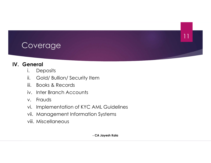- 
- Coverage<br>
IV. General<br>
i. Deposits<br>
ii. Gold/Bullion/Security Item i.<br>**OVETAGE:**<br> **Peneral**<br> **Example 1:**<br> **Cold/Bullion/Security Item<br>
<b>iii.** Books & Records indextractions<br>
in the province of the province of the province of the province of the provincial in the Branch Accounts<br>
in the Branch Accounts<br>
iv. Inter Branch Accounts identify and the control<br>Separation of the Separation of the Sold Aullion of Security Item<br>iii. Books & Records<br>iv. Inter Branch Accounts<br>v. Frauds
	-
	-
	-
	- i<br> **Colar Colar Colar Colar Colar Colar Colar Colar Colar Colar Colar Colar Colar Colar Colar Colar Colar Colar Colar Colar Colar Colar Colar Colar Colar Colar Colar<br>
	Franch Accounts<br>
	V. Frauds<br>
	Vi. Implementation of KYC A** Coverage<br>
	Seneral<br>
	i. Deposits<br>
	ii. Gold/ Bullion/ Security Item<br>
	iii. Books & Records<br>
	iv. Inter Branch Accounts<br>
	v. Frauds<br>
	vi. Implementation of KYC AML Guidelin<br>
	vii. Management Information Systems Coverage<br>
	Vi. Deposits<br>
	Vi. Gold/ Bullion/ Security Item<br>
	Vii. Books & Records<br>
	Vi. Inter Branch Accounts<br>
	Vi. Implementation of KYC AML Guidelines<br>
	Vii. Management Information Systems<br>
	Viii. Miscellaneous COVETCUCE<br>
	Eneral<br>
	i. Deposits<br>
	ii. Gold/ Bullion/ Security Item<br>
	iii. Books & Records<br>
	iv. Inter Branch Accounts<br>
	v. Frauds<br>
	vi. Implementation of KYC AML Guidelines<br>
	vii. Management Information Systems<br>
	viii. Miscellaneo eneral<br>
	i. Deposits<br>
	ii. Gold/ Bullion/ Security Item<br>
	iii. Books & Records<br>
	iv. Inter Branch Accounts<br>
	v. Frauds<br>
	vi. Implementation of KYC AML Guidelin<br>
	vii. Management Information Systems<br>
	viii. Miscellaneous<br>
	ca Jayesh em<br>AML Guidelines<br>on Systems<br>- CA Jayesh Kala
	-
	-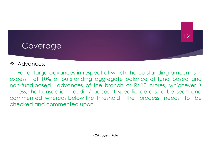#### **Coverage**

#### ❖ Advances:

For all large advances in respect of which the outstanding amount is in<br>For all large advances in respect of which the outstanding amount is in<br>respect to 10% of outstanding aggregate balance of fund based and<br>refund based excess of 10% of outstanding aggregate balance of fund based and<br>the outstanding aggregate balance of fund based and<br>non-fund based advances of the branch or Rs.10 crores, whichever is<br>less, the transaction audit / account non-fund based advances in respect of which the outstanding amount is in<br>excess of 10% of outstanding aggregate balance of fund based and<br>non-fund based advances of the branch or Rs.10 crores, whichever is<br>less, the transa **Coverage**<br> **Coverage**<br> **Advances:**<br> **For all large advances in respect of which the outstanding amount is in<br>
tess of 10% of outstanding aggregate balance of fund based and<br>
<b>a**-fund based advances of the branch or Rs.10 **Coverage**<br> **Coverage**<br> **Coverage**<br> **Coverage**<br>
For all large advances in respect of which the outstanding amount is in<br>
excess of 10% of outstanding aggregate balance of fund based and<br>
non-fund based advances of the bran Coverage<br>
Advances:<br>
For all large advances in respect of which the outstanding<br>
excess of 10% of outstanding aggregate balance of fund<br>
non-fund based cadvances of the branch or Rs.10 crores,<br>
less, the transaction audit onder the outstanding amount is in aggregate balance of fund based and<br>the branch or Rs.10 crores, whichever<br>account specific details to be seen and<br>threshold, the process needs to b<br>i.<br>**CA Jayesh Kala**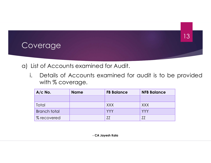

|                     |                                                          |                   |                    | 5 ا |
|---------------------|----------------------------------------------------------|-------------------|--------------------|-----|
| verage              |                                                          |                   |                    |     |
|                     |                                                          |                   |                    |     |
|                     |                                                          |                   |                    |     |
|                     | ist of Accounts examined for Audit.                      |                   |                    |     |
| with % coverage.    | Details of Accounts examined for audit is to be provided |                   |                    |     |
| $A/c$ No.           | <b>Name</b>                                              | <b>FB Balance</b> | <b>NFB Balance</b> |     |
|                     |                                                          |                   |                    |     |
| Total               |                                                          | <b>XXX</b>        | <b>XXX</b>         |     |
| <b>Branch total</b> |                                                          | <b>YYY</b>        | <b>YYY</b>         |     |
| % recovered         |                                                          | ZZ                | ZZ                 |     |
|                     |                                                          |                   |                    |     |
|                     |                                                          | - CA Jayesh Kala  |                    |     |
|                     |                                                          |                   |                    |     |
|                     |                                                          |                   |                    |     |
|                     |                                                          |                   |                    |     |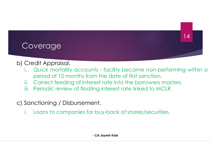- Coverage<br>
b) Credit Appraisal.<br>
i. Quick mortality accounts facility bed<br>
period of 12 months from the date of t **i.**<br>**Credit Appraisal.**<br>i. Quick mortality accounts - facility became non-performing within a<br>period of 12 months from the date of first sanction.<br>i. Correct feeding of interest rate into the borrowers masters. **period of 12**<br>period of 12 months from the date of first sanction.<br>Contract from the date of first sanction.<br>Correct feeding of interest rate into the borrowers masters.<br>Periodic review of floating interest rate linked to interaction of the borrower of the borrower of the borrower of the correct feeding of interest rate into the borrowers masters.<br>
Fig. correct feeding of interest rate into the borrowers masters.<br>
The periodic review of flo Entringtheorem Controllery Controllery Controllery Credit Appraisal.<br>
i. Quick mortality accounts - facility became non-performing within a<br>
period of 12 months from the date of first sanction.<br>
iii. Correct feeding of int Coverage<br>
b) Credit Appraisal.<br>
i. Quick mortality accounts - facility became neperiod of 12 months from the date of first sance<br>
ii. Correct feeding of interest rate into the borrov<br>
iii. Periodic review of floating inter **Coverage**<br> **Credit Appraisal.**<br>
i. Quick mortality accounts - facility became non-performing within a<br>
period of 12 months from the date of first sanction.<br>
ii. Correct feeding of interest rate into the borrowers masters. This - facility became non-performing within<br>
the date of first sanction.<br>
The date into the borrowers masters.<br>
Sing interest rate linked to MCLR.<br>
Then the same of the solutions.<br>
Then the boy-back of shares/securities.<br>
	-
	-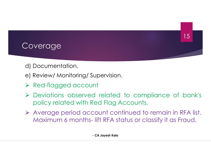- 
- Coverage<br>d) Documentation.<br>e) Review/ Monitoring/ Supervision Soverage<br>
d) Documentation.<br>
e) Review/ Monitoring/ Supervision.<br>
> Red-flagged account
- 
- Coverage<br>
d) Documentation.<br>
e) Review/ Monitoring/ Supervision.<br>
→ Red-flagged account<br>
→ Deviations observed related to compliar<br>
policy related with Red Flag Accounts Coverage<br>
d) Documentation.<br>
e) Review/ Monitoring/ Supervision.<br>
→ Red-flagged account<br>
→ Deviations observed related to compliance of bank's<br>
policy related with Red Flag Accounts.<br>
→ Average period account continued to **Procession Control Control Control Control Control Control Control Control Control Control Control Control Control Control Control Control Control Control Control Control Control Control Control Control Control Control Co**  Average period account continued to remain in RFA list. Documentation.<br>
Review/ Monitoring/ Supervision.<br>
Red-flagged account<br>
Deviations observed related to compliance of bank's<br>
policy related with Red Flag Accounts.<br>
Average period account continued to remain in RFA list.<br>
M orthold related to compliance of bank<br>Red Flag Accounts.<br>New Yed Flag Accounts.<br>Count continued to remain in RFA list<br>- Lift RFA status or classify it as Fraud.<br>- CA Jayesh Kala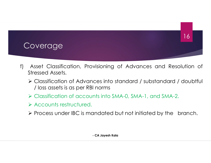![](_page_15_Picture_0.jpeg)

- Film Asset Classification, Provisioning of Advances and Resolution of Stressed Assets.<br>
Film Asset Classification, Provisioning of Advances and Resolution of Stressed Assets.<br>
Fig. Classification of Advances into standard
	- Supercomestant Controller<br>Stressed Assets.<br>Stressed Assets.<br>Supercometers and Supercometers into standard<br>Supercometers is as per RBI norms Coverage<br>
	Coverage<br>
	Asset Classification, Provisioning of Advances and Resolution of<br>
	Stressed Assets.<br>
	Classification of Advances into standard / substandard / doubtful<br>
	Classification of accounts into SMA-0, SMA-1, and S Verage<br>
	State Classification, Provisioning of Advances and Resolvessed Assets.<br>
	Classification of Advances into standard / substandard / c<br>
	Joss assets is as per RBI norms<br>
	Classification of accounts into SMA-0, SMA-1, and Coverage<br>
	Asset Classification, Provisioning of Advances and Resolution of<br>
	Stressed Assets.<br>
	→ Classification of Advances into standard / substandard / doubtful<br>
	/ loss assets is as per RBI norms<br>
	→ Classification of acc Coverage<br>
	Asset Classification, Provisioning of Advance<br>
	Stressed Assets.<br>
	→ Classification of Advances into standard / su<br>
	/ loss assets is as per RBI norms<br>
	→ Classification of accounts into SMA-0, SMA-1<br>
	→ Accounts res Proverage<br>
	Proverage Asset Classification, Provisioning of Advances and Resolution of<br>
	Stressed Assets.<br>
	→ Classification of accounts into SMA-0, SMA-1, and SMA-2.<br>
	→ Accounts restructured.<br>
	→ Process under IBC is mandate visioning of Advances and Resolution (<br>
	ices into standard / substandard / doubtf<br>
	I norms<br>
	nts into SMA-0, SMA-1, and SMA-2.<br>
	andated but not initiated by the branch.<br>
	. CA Jayesh Kala
	-
	-
	-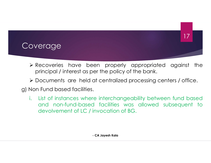![](_page_16_Picture_0.jpeg)

- Proverage<br>
Recoveries have been properly appropriated against the<br>
Recoveries have been properly appropriated against the<br>
Recoveries as per the policy of the bank.<br>
Recoveries are held at centralized processing centers / Principal Maria Control and Transfer as per the policy of the bank.<br>Principal / interest as per the policy of the bank.<br>Documents are held at centralized processing centers / office. Dependence of the principal vertex are the principal vertex are held at centralized processing centers / office.<br>
→ Documents are held at centralized processing centers / office.<br>
→ Non Fund based facilities. Coverage<br>
> Recoveries have been properly appropriate<br>
principal / interest as per the policy of the bank.<br>
> Documents are held at centralized processing and<br>
g) Non Fund based facilities.<br>
i. List of instances where inte
	-
- 
- i. List of instances where interchangeability between fund based and non-fund based facilities.<br>
i. List of instances where interchangeability between fund based and non-fund based facilities.<br>
i. List of instances where **Exercise Solution Section**<br>Frincipal / interest as per the policy of the bank.<br>The principal vector of the bank of the bank.<br>The processing centers / office.<br>The principal facilities was allowed subsequent to<br>devolvement ecoveries have been properly appropriated against the<br>inincipal / interest as per the policy of the bank.<br>Documents are held at centralized processing centers / office.<br>Fund based facilities.<br>List of instances where interc Framer the policy of the bank.<br>Framer the policy of the bank.<br>The interchangeability between fund base<br>of facilities was allowed subsequent the<br>invocation of BG.<br>The caligness of BG.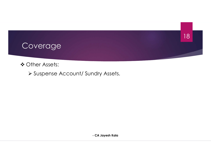![](_page_17_Picture_0.jpeg)

ndry Assets.<br>- CA Jayesh Kala<br>- CA Jayesh Kala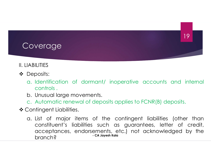# Coverage Coverage<br>
II. LIABILITIES<br>
• Deposits:<br>
a Identification of dormant/ in

- Deposits:
- Exercise<br>ARILITIES<br>Deposits:<br>a. Identification of dormant/ inoperative accounts and internal<br>controls .<br>b. Unusual large movements. Verage<br>
Verage<br>
LLITIES<br>
posits:<br>
Identification of dormant/ inoperative<br>
controls .<br>
Unusual large movements.<br>Automatic renewal of deposits applies to F Coverage<br>
Seposits:<br>
Deposits:<br>
a. Identification of dormant/ inoperative accounce<br>
controls .<br>
b. Unusual large movements.<br>
c. Automatic renewal of deposits applies to FCNR(I<br>Contingent Liabilities. COVETAGE<br>
COVETAGE<br>
COVETAGE<br>
COMBINITIES<br>
C. Automatic renewal of deposits applies to FCNR(B) deposits.<br>
C. Automatic renewal of deposits applies to FCNR(B) deposits.<br>
Contingent Liabilities.<br>
Contingent Liabilities.<br>
Con Coverage<br>
II. LIABILITIES<br>
• Deposits:<br>
a. Identification of dormant/ inoperative<br>
controls .<br>
b. Unusual large movements.<br>
c. Automatic renewal of deposits applies to F<br>
• Contingent Liabilities.<br>
a. List of major items o
	-
	-
- 
- EXECUTES<br>
Deposits:<br>
a. Identification of dormant/ inoperative accounts and internal<br>
controls<br>
b. Unusual large movements.<br>
c. Automatic renewal of deposits applies to FCNR(B) deposits.<br>
Contingent Liabilities (other than ILITIES<br>cosits:<br>Identification of dormant/ inoperative accounts and internal<br>controls.<br>Unusual large movements.<br>Automatic renewal of deposits applies to FCNR(B) deposits.<br>Itingent Liabilities.<br>List of major items of the co ILITIES<br>accepts:<br>acceptratification of dormant/ inoperative accounts and internal<br>controls.<br>Automatic renewal of deposits applies to FCNR(B) deposits.<br>Automatic renewal of deposits applies to FCNR(B) deposits.<br>Automatic re branch?<br>
branch?<br>
branch?<br>
branch?<br>
controls.<br>
Dhusual large movements.<br>
Automatic renewal of deposits applies to FCNR(B) deposits.<br>
tingent Liabilities.<br>
List of major items of the contingent liabilities (other the<br>
const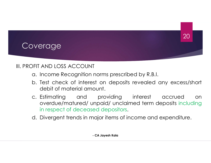- Coverage<br>
III. PROFIT AND LOSS ACCOUNT<br>
a. Income Recognition norms prescribed by R.B.<br>
b. Test check of interest on deposits revealed
	- PRIT AND LOSS ACCOUNT<br>
	APPIT AND LOSS ACCOUNT<br>
	A. Income Recognition norms prescribed by R.B.I.<br>
	A. Test check of interest on deposits revealed any excess/short<br>
	debit of material amount. **b.** Test check of interest on deposits revealed any excess/short check of interest on deposits revealed any excess/short debit of material amount.<br>
	E. Estimating and providing interest accrued on

- erage<br>
AND LOSS ACCOUNT<br>
Income Recognition norms prescribed by R.B.I.<br>
Test check of interest on deposits revealed any<br>
debit of material amount.<br>
Estimating and providing interest acc<br>
overdue/matured/ unpaid/ unclaimed PFIT AND LOSS ACCOUNT<br>a. Income Recognition norms prescribed by R.B.I.<br>b. Test check of interest on deposits revealed any excess/short<br>debit of material amount.<br>c. Estimating and providing interest accrued on<br>overdue/matur 20<br>
AND LOSS ACCOUNT<br>
Income Recognition norms prescribed by R.B.I.<br>
Test check of interest on deposits revealed any excess/short<br>
debit of material amount.<br>
Estimating and providing interest accrued on<br>
overdue/matured/ u in respect of deceased depositors.<br>
SPIT AND LOSS ACCOUNT<br>
A lo. Test check of interest on deposits revealed any excess/short<br>
debit of material amount.<br>
C. Estimating and providing interest accrued on<br>
overdue/matured/ un I<br>
norms prescribed by R.B.I.<br>
st on deposits revealed any excess/sho<br>
ount.<br>
providing interest accrued o<br>
impaid/ unclaimed term deposits includined<br>
depositors.<br>
hajor items of income and expenditure.<br>
. CA Jayesh Kala
-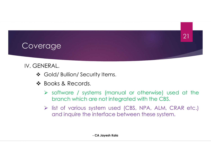#### Coverage

#### IV. GENERAL.

- 
- 
- SENERAL.<br>
SENERAL.<br>
SENERAL.<br>
SENERAL.<br>
SENERAL.<br>
SENERAL SENERALS:<br>
SENERAL:<br>
SENERAL:<br>
SENERAL:<br>
SENERAL:<br>
SENERAL:<br>
SENERAL:<br>
SENERAL:<br>
SENERAL:<br>
SENERAL:<br>
SENERAL:<br>
SENERAL:<br>
SENERAL:<br>
SENERAL:<br>
SENERAL:<br>
SENERAL:<br>
SEN **branch which are not integrated with the CBS.**<br>Branch which are not integrated with the CBS.<br>Branch which are not integrated with the CBS.<br>Branch which are not integrated with the CBS.<br>Branch inquire the interface between rity Items.<br>
Jeans (manual or otherwise) used at the<br>
tre not integrated with the CBS.<br>
Stem used (CBS, NPA, ALM, CRAR etc.)<br>
interface between these system.<br>
- CA Jayesh Kala
	- list of various system used (CBS, NPA, ALM, CRAR etc.) **AL.**<br>Id/ Bullion/ Security Items.<br>Soks & Records.<br>Software / systems (manual or otherwise) used at the<br>branch which are not integrated with the CBS.<br>Iist of various system used (CBS, NPA, ALM, CRAR etc.)<br>and inquire the i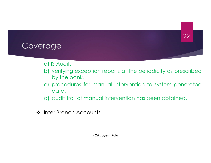- 
- rage<br>
a) IS Audit.<br>
b) verifying exception reports at the persidents. Palis Audit.<br>
b) verifying exception reports at the periodicity as prescribed<br>
by the bank.<br>
c) procedures for manual intervention to system generated ge<br>
S Audit.<br>
verifying exception reports at the periodi-<br>
by the bank.<br>
procedures for manual intervention to s<br>
data. ch)<br>
c) procedures for manual intervention to system generated<br>
c) procedures for manual intervention to system generated<br>
c) audit trail of manual intervention has been obtained. (a) IS Audit.<br>
a) IS Audit.<br>
b) verifying exception reports at the periodicity as prescribed<br>
by the bank.<br>
c) procedures for manual intervention to system generated<br>
data.<br>
d) audit trail of manual intervention has been o Compared Accounts.<br>
Interviewed and the periodicity by the bank.<br>
Intervention of system of the periodicity by the bank.<br>
Intervention of system of the periodic of the bank.<br>
Intervention has been to the Branch Accounts.<br> France of the periodicity as prescribed manual intervention to system generated<br>France in the system generated and intervention has been obtained.<br>Find the system Kalandra CA Jayesh Kalandra CA Jayesh Kalandra CA Jayesh Ka
	- data.
	-
-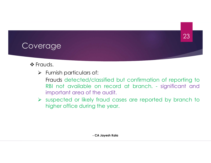#### Coverage

#### ❖ Frauds.

erage<br>Frauds.<br>Frauds hard particulars of:<br>Frauds detected/classified but confirmation of report<br>RBI not available on record at branch. - significe redisted and the content of the audit of the and the audit of the audit of the audit of the audit of the audit. Reporting the content of the available on record at branch. Assume that we shall not available on record at branch. - significant and important area of the audit.<br>RBI not available on record at branch. - significant and im area of the automation of the audio<br>inputs are the audio probably and the audio profile<br>inportant area of the audit.<br>Inportant area of the audit.<br>Inspected or likely fraud cases are reported by brancl<br>higher office during 933<br>
Surveyer (23)<br>
23<br>
23<br>
23<br>
23<br>
Furnish particulars of:<br>
Frauds detected/classified but confirmation of reporting to<br>
28<br>
28 Interval cases are reported by branch to<br>
29 Interval cases are reported by branch to<br>
20 Int dies.<br>
Hurnish particulars of:<br>
Frauds detected/classified but confirmation of reporting<br>
RBI not available on record at branch. - significant are<br>
important area of the audit.<br>
Suspected or likely fraud cases are reported of:<br>classified but confirmation of reporting to<br>on record at branch. - significant and<br>the audit.<br>/ fraud cases are reported by branch to<br>g the year.<br>- CA Jayesh Kala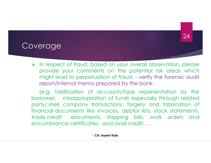#### Coverage

In respect of fraud, based on your overall observation, please<br>
Provide your comments on the potential risk areas which<br>
Provide to perpetuation of fraud. - verify the forensic audit provide your comments on the potential risk areas which the potential risk areas which might lead to perpetuation of fraud. - verify the forensic audit report/internal memo prepared by the bank. **Example:**<br>The respect of fraud, based on your overall observation, please<br>provide your comments on the potential risk areas which<br>might lead to perpetuation of fraud. - verify the forensic audit<br>report/internal memo prepa **EXAGE SERVIET SERVIET SERVIET SERVIET SERVIET SERVIET SERVIET SERVIET SERVIET SERVIET SERVIET SERVIET SERVIET SERVIET SERVIET SERVIET SERVIET SERVIET SERVIET SERVIET SERVIET SERVIET SERVIET SERVIET SERVIET SERVIET SERVIET** (e.g. falsification of the specially through the company of the special special provide your comments on the potential risk areas which might lead to perpetuation of fraud. - verify the forensic audit report/internal memo

**borrow in the set of fraud, based on your overall observation, please**<br>provide your comments on the potential risk areas which<br>might lead to perpetuation of fraud. - verify the forensic audit<br>report/internal memo prepared **Party in the system of the shell company transaction** of the potential risk areas which might lead to perpetuation of fraud. - verify the forensic audit report/internal memo prepared by the bank.<br>
(e.g. falsification of a Financial documents and avail credit; stock statements and encyclent and the potential documents of the potential risk areas which might lead to perpetuation of fraud. - verify the forensic audit report/internal memo prepa The speech of fraud, based on your overall observation, please<br>provide your comments on the potential risk areas which<br>might lead to perpetuation of fraud. - verify the forensic audit<br>report/internal memo prepared by the b En respect of fraud, based on your overall observation, please<br>provide your comments on the potential risk areas which<br>might lead to perpetuation of fraud. - verify the forensic audit<br>report/internal memo prepared by the b bents on the potential risk areas which<br>tuation of fraud. - verify the forensic audit<br>b prepared by the bank.<br>Concounts/false representation by the<br>iation of funds especially through related<br>transactions; forgery and fabri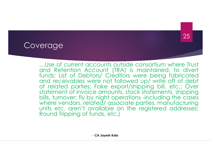erage<br>
…Use of current accounts outside consortium where Trust<br>
and Retention Account (TRA) is maintained, to divert<br>
funds; List of Debtors/ Creditors were being fabricated<br>
and receivables were not followed up/ write off erage<br>
...Use of current accounts outside consortium where Trust<br>
and Retention Account (TRA) is maintained, to divert<br>
funds; List of Debtors/ Creditors were being fabricated<br>
and receivables were not followed up/ write o **funds; List of Current accounts outside consortium where Trust**<br>funds; List of Debtors/ Creditors were being fabricated<br>funds; List of Debtors/ Creditors were being fabricated<br>and receivables were not followed up/ write o and received to the control of the constrained when the constrained where the constrained and Retention Account (IRA) is maintained, to divert<br>funds; List of Debtors/ Creditors were being fabricated<br>and receivables were no **Example 12**<br> **Example 12**<br> **Example 12**<br> **Example 12**<br> **Example 12**<br> **Example 12**<br> **Example 12**<br> **Example 12**<br> **Example 12**<br> **Example 12**<br> **Example 12**<br> **Example 12**<br> **Example 12**<br> **Example 12**<br> **Example 12**<br> **Example 12** units etc. aren't accounts outside consortium where Trust<br>
and Retention Account (TRA) is maintained, to divert<br>
funds; List of Debtors/ Creditors were being fabricated<br>
and receivables were not followed up/ write off of d count (TRA) is maintained, to divert<br>count (TRA) is maintained, to divert<br>ors/ Creditors were being fabricated<br>ere not followed up/ write off of debt<br>Fake export/shipping bill, etc.; Over<br>e amounts, stock statements, shipp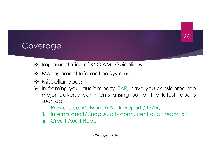- Verage<br>
→ Implementation of KYC AML Guidelines<br>
→ Management Information Systems<br>
→ Miscellaneous:
- 
- ❖ Miscellaneous:
- Verage<br>
→ Implementation of KYC AML Guidelines<br>
→ Management Information Systems<br>
→ Miscellaneous:<br>
→ In framing your audit report/LFAR, have you considered the Verage<br>
<br>
• Implementation of KYC AML Guidelines<br>
• Management Information Systems<br>
• Miscellaneous:<br>
► In framing your audit report/LFAR, have you considered the<br>
major adverse comments arising out of the latest reports<br> Prage<br>
Implementation of KYC AML Guidelines<br>
Management Information Systems<br>
Miscellaneous:<br>
In framing your audit report/LFAR, have you considered the<br>
major adverse comments arising out of the latest reports<br>
such as:<br>
P Prage<br>
Implementation of KYC AML Guidelines<br>
Management Information Systems<br>
Miscellaneous:<br>
In framing your audit report/LFAR, have<br>
major adverse comments arising out<br>
such as:<br>
i. Previous year's Branch Audit Report<br>
ii implementation of KYC AML Guidelines<br>Management Information Systems<br>Miscellaneous:<br>In framing your audit report/LFAR, have you considered the<br>major adverse comments arising out of the latest reports<br>such as:<br>i. Previous ye Frage<br>Implementation of KYC AML Guidelines<br>Management Information Systems<br>In framing your audit report/LFAR, have you considered the<br>major adverse comments arising out of the latest reports<br>such as:<br>i. Previous year's Bran Implementation of KYC AML Guidelines<br>
Management Information Systems<br>
Miscellaneous:<br>
In framing your audit report/LFAR, have you consi<br>
major adverse comments arising out of the late<br>
such as:<br>
i. Previous year's Branch A Internation Systems<br>
it report/LFAR, have you considered the<br>
inments arising out of the latest reports<br>
ranch Audit Report / LFAR;<br>
hap Audit/ concurrent audit report(s);<br>
Mort;<br>
Alayesh Kala
	-
	-
	-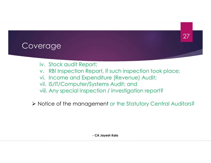#### Coverage

- 
- Prage<br>iv. Stock audit Report;<br>v. RBI Inspection Report, if such inspection took p<br>vi. Income and Expenditure (Revenue) Audit; erage<br>iv. Stock audit Report;<br>v. RBI Inspection Report, if such inspection took place;<br>vi. Income and Expenditure (Revenue) Audit;<br>vii. IS/IT/Computer/Systems Audit; and erage<br>iv. Stock audit Report;<br>v. RBI Inspection Report, if such inspection took place;<br>vi. Income and Expenditure (Revenue) Audit;<br>vii. IS/IT/Computer/Systems Audit; and<br>viii. Any special inspection / investigation report? **Example:**<br>
V. Stock audit Report;<br>
V. RBI Inspection Report, if such inspection took place;<br>
Vii. IS/IT/Computer/Systems Audit; and<br>
Viii. Any special inspection / investigation report?
- 
- 
- 

**Example:**<br>
1977 - Track and the Report;<br>
1988 - The Angle State inspection of the Angle State inspection took place;<br>
1998 - Vii. IS/IT/Computer/Systems Audit; and<br>
1999 - Vii. Any special inspection / investigation repor Notice of the management or the Statutory Central Auditors? <sup>117</sup>, port, if such inspection took place;<br>enditure (Revenue) Audit;<br>ystems Audit; and<br>ction / investigation report?<br>ement or the Statutory Central Auditors?<br>- CA Jayesh Kala